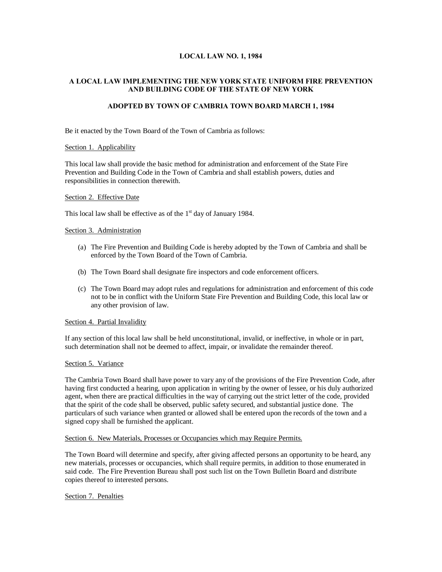## **LOCAL LAW NO. 1, 1984**

# **A LOCAL LAW IMPLEMENTING THE NEW YORK STATE UNIFORM FIRE PREVENTION AND BUILDING CODE OF THE STATE OF NEW YORK**

## **ADOPTED BY TOWN OF CAMBRIA TOWN BOARD MARCH 1, 1984**

Be it enacted by the Town Board of the Town of Cambria as follows:

### Section 1. Applicability

This local law shall provide the basic method for administration and enforcement of the State Fire Prevention and Building Code in the Town of Cambria and shall establish powers, duties and responsibilities in connection therewith.

### Section 2. Effective Date

This local law shall be effective as of the  $1<sup>st</sup>$  day of January 1984.

## Section 3. Administration

- (a) The Fire Prevention and Building Code is hereby adopted by the Town of Cambria and shall be enforced by the Town Board of the Town of Cambria.
- (b) The Town Board shall designate fire inspectors and code enforcement officers.
- (c) The Town Board may adopt rules and regulations for administration and enforcement of this code not to be in conflict with the Uniform State Fire Prevention and Building Code, this local law or any other provision of law.

## Section 4. Partial Invalidity

If any section of this local law shall be held unconstitutional, invalid, or ineffective, in whole or in part, such determination shall not be deemed to affect, impair, or invalidate the remainder thereof.

### Section 5. Variance

The Cambria Town Board shall have power to vary any of the provisions of the Fire Prevention Code, after having first conducted a hearing, upon application in writing by the owner of lessee, or his duly authorized agent, when there are practical difficulties in the way of carrying out the strict letter of the code, provided that the spirit of the code shall be observed, public safety secured, and substantial justice done. The particulars of such variance when granted or allowed shall be entered upon the records of the town and a signed copy shall be furnished the applicant.

#### Section 6. New Materials, Processes or Occupancies which may Require Permits.

The Town Board will determine and specify, after giving affected persons an opportunity to be heard, any new materials, processes or occupancies, which shall require permits, in addition to those enumerated in said code. The Fire Prevention Bureau shall post such list on the Town Bulletin Board and distribute copies thereof to interested persons.

## Section 7. Penalties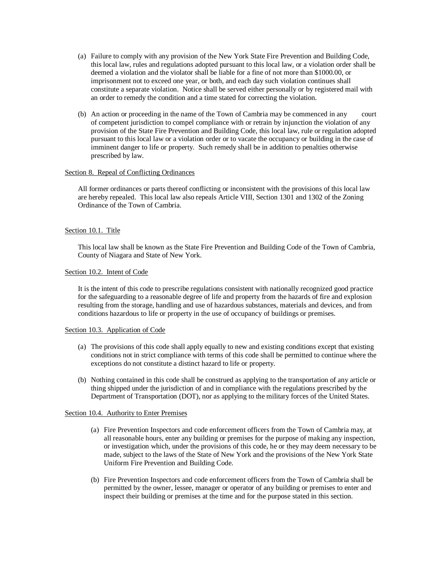- (a) Failure to comply with any provision of the New York State Fire Prevention and Building Code, this local law, rules and regulations adopted pursuant to this local law, or a violation order shall be deemed a violation and the violator shall be liable for a fine of not more than \$1000.00, or imprisonment not to exceed one year, or both, and each day such violation continues shall constitute a separate violation. Notice shall be served either personally or by registered mail with an order to remedy the condition and a time stated for correcting the violation.
- (b) An action or proceeding in the name of the Town of Cambria may be commenced in any court of competent jurisdiction to compel compliance with or retrain by injunction the violation of any provision of the State Fire Prevention and Building Code, this local law, rule or regulation adopted pursuant to this local law or a violation order or to vacate the occupancy or building in the case of imminent danger to life or property. Such remedy shall be in addition to penalties otherwise prescribed by law.

### Section 8. Repeal of Conflicting Ordinances

All former ordinances or parts thereof conflicting or inconsistent with the provisions of this local law are hereby repealed. This local law also repeals Article VIII, Section 1301 and 1302 of the Zoning Ordinance of the Town of Cambria.

### Section 10.1. Title

This local law shall be known as the State Fire Prevention and Building Code of the Town of Cambria, County of Niagara and State of New York.

#### Section 10.2. Intent of Code

It is the intent of this code to prescribe regulations consistent with nationally recognized good practice for the safeguarding to a reasonable degree of life and property from the hazards of fire and explosion resulting from the storage, handling and use of hazardous substances, materials and devices, and from conditions hazardous to life or property in the use of occupancy of buildings or premises.

#### Section 10.3. Application of Code

- (a) The provisions of this code shall apply equally to new and existing conditions except that existing conditions not in strict compliance with terms of this code shall be permitted to continue where the exceptions do not constitute a distinct hazard to life or property.
- (b) Nothing contained in this code shall be construed as applying to the transportation of any article or thing shipped under the jurisdiction of and in compliance with the regulations prescribed by the Department of Transportation (DOT), nor as applying to the military forces of the United States.

### Section 10.4. Authority to Enter Premises

- (a) Fire Prevention Inspectors and code enforcement officers from the Town of Cambria may, at all reasonable hours, enter any building or premises for the purpose of making any inspection, or investigation which, under the provisions of this code, he or they may deem necessary to be made, subject to the laws of the State of New York and the provisions of the New York State Uniform Fire Prevention and Building Code.
- (b) Fire Prevention Inspectors and code enforcement officers from the Town of Cambria shall be permitted by the owner, lessee, manager or operator of any building or premises to enter and inspect their building or premises at the time and for the purpose stated in this section.